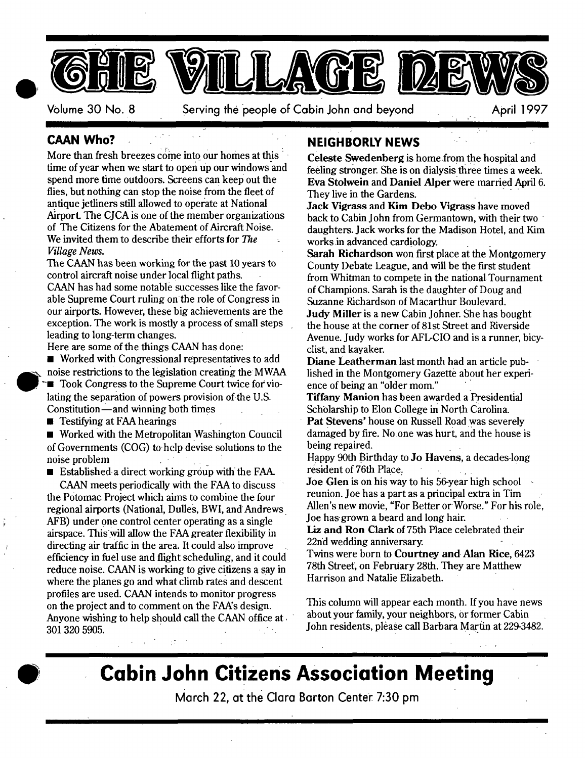

Volume 30 No. 8 Serving the people of Cabin John and beyond April 1997

### **CAAN Who?**

More than fresh breezes come into our homes at this time of year when we start to open up our windows and spend more time outdoors. Screens can keep out the flies, but nothing can stop the noise from the fleet of antique jetliners still allowed to operate at National Airport. The CJCA is one of the member organizations of The Citizens for the Abatement of Aircraft Noise. We invited them to describe their efforts for The *Village News.* 

The CAAN has been working for the past 10 years to control aircraft noise under local flight paths. CAAN has had some notable successes like the favorable Supreme Court ruling on the role of Congress in our airports. However, these big achievements are the exception. The work is mostly a process of small steps leading to long-term changes.

Here are some of the things CAAN has done:

**• Worked with Congressional representatives to add** noise restrictions to the legislation creating the MWAA ■ Took Congress to the Supreme Court twice for violating the separation of powers provision of the U.S. Constitution-and winning both times

**E** Testifying at FAA hearings

■ Worked with the Metropolitan Washington Council of Governments (COG) to help devise solutions to the noise problem

**Established a direct working group with the FAA.** 

CAAN meets periodically with the FAA to discuss the Potomac Project which aims to combine the four regional airports (National, Dulles, BWI, and Andrews AFB) under one control center operating as a single airspace. Thiswill allow the FAA greater flexibility in directing air traffic in the area. It could also improve efficiency in fuel use and flight scheduling, and it could reduce noise. CAAN is working to give citizens a say in where the planes go and what climb rates and descent profiles are used. CAAN intends to monitor progress on the project and to comment on the FAA's design. Anyone wishing to help should call the CAAN office at. 301 320 5905.

## **NEIGHBORLY NEWS**

**Celeste Swedenberg** is home fromthe hospital and feeling stronger. She is on dialysis three times a week. Eva Stolwein and Daniel Alper were married April 6. They live in the Gardens.

Z ..

Jack Vigrass and Kim Debo Vigrass have moved back to Cabin John from Germantown, with their two daughters. Jack works for the Madison Hotel, and Kim works.in advanced cardiology.

Sarah Richardson won first place at the Montgomery County Debate League, and will be the first student from Whitman to compete in the national Tournament of Champions. Sarah is the daughter of Doug and Suzanne Richardson of Macarthur Boulevard. Judy Miller is a new Cabin Johner. She has bought the house at the corner of 81st Street and Riverside Avenue. Judy works for AFL-CIO and is a runner, bicyclist, and kayaker.

**Diane** Leatherman last month had an article published in the Montgomery Gazette about her experience of being an "older mom."

Tiffany Manion has been awarded a Presidential Scholarship to Elon College in North Carolina. Pat Stevens' house on Russell Road was severely damaged by fire. No one was hurt, and the house is being repaired.

Happy 90th Birthday to **Jo Havens**, a decades-long resident of 76th Place.

**Joe** Glen is on his way to his 56-year high school reunion. Joe has a part as a principal extra in Tim Allen's new movie, "For Better or Worse." For his role, Joe has.grown a beard and long hair.

Liz and Ron Clark of 75th Place celebrated their 22nd wedding anniversary.

Twins were born to Courtney and Alan Rice, 6423 78th Street, on February 28th. They are Matthew Harrison and Natalie Elizabeth.

This column will appear each month. If you have news about your family, your neighbors, or former Cabin John residents, please call Barbara Martin at 229-3482.

# **Cobin John Citizens Associotion Meeting**

March 22, at the Clara Barton Center 7:30 pm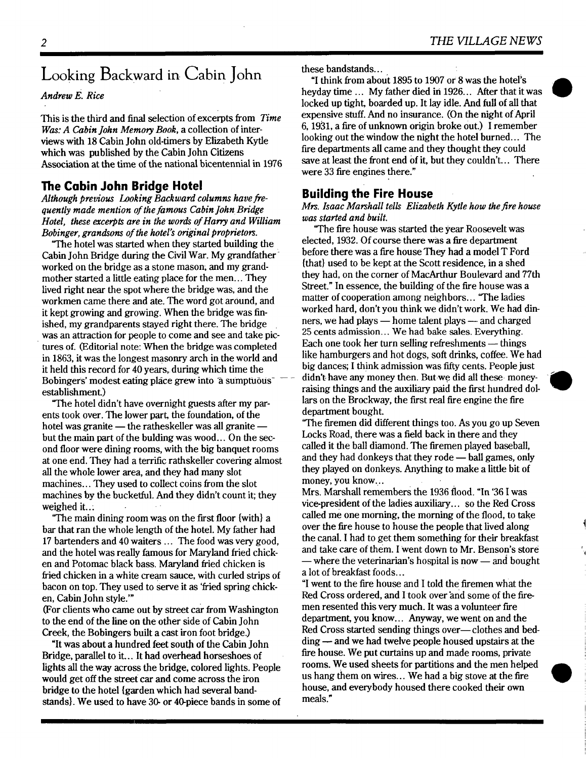# **Looking Backward in Cabin John**

#### *Andrew E. Rice*

This is the third and final selection of excerpts from *Time Was: A Cabin John Memory Book,* a collection of interviews with 18 Cabin John old-timers by Elizabeth Kytle which was published by the Cabin John Citizens Association at the time of the national bicentennial in 1976

#### **The Cabin John Bridge Hotel**

*Although previous Looking Backward columns have.frequently made mention of the famous Cabin John Bridge Hotel, these excerpts are in the words of Harry and William Bobinger, grandsons of the hotel's original proprietors.* 

"The hotel was started when they started building the Cabin John Bridge during the Civil War. My grandfather worked on the bridge as a stone mason; and my grandmother started a little eating place for the men... They lived right near the spot where the bridge was, and the workmen came there and ate. The word got around, and it kept growing and growing. When the bridge was finished, my grandparents stayed right there. The bridge was an attraction for people to come and see and take pictures of. (Editorial note: When the bridge was completed in 1863, it was the longest masonry arch in the world and it held this record for 40 years, during which time the Bobingers' modest eating place grew into <sup>a</sup> sumptuous<sup>-</sup> establishment.)

"The hotel didn't have overnight guests after my parents took over. The lower part, the foundation, of the hotel was granite -- the ratheskeller was all granite but the main part of the bulding was wood... On the second floor were dining rooms, with the big banquet rooms at one end. They had a terrific rathskeller covering almost all the whole lower area, and they had many slot machines... They used to collect coins from the slot machines by the bucketful. And they didn't count it; they weighed it...

"The main dining room was on the first floor {with} a bar that ran the whole length of the hotel. My father had 17 bartenders and 40 waiters... The food was very good, and the hotel was really famous for Maryland fried chicken and Potomac black bass. Maryland fried chicken is fried chicken in a white cream sauce, with curled strips of bacon on top. They used to Serve it as *'fried* spring chicken, Cabin John style.'"

(For clients who came out by street car from Washington to the end of the line on the other side of Cabin John Creek, the Bobingers built a cast iron foot bridge.)

"It was about a hundred feet south of the Cabin John Bridge, parallel to it... It had overhead horseshoes of lights all the way across the bridge, colored lights. People would get off the street car and come across the iron bridge to the hotel {garden which had several bandstands}. We used to have 30- or 40-piece bands in some of these bandstands...

"I think from about 1895 to 1907 or  $8$  was the hotel's heyday time ... My father died in 1926... After that it was locked up tight, boarded up. It lay idle. And full of all that expensive stuff. And no insurance. (On the night of April 6, 1931, a fire of unknown origin broke out.) I remember looking out the window the night the hotel burned... The fire departments all came and they thought they could save at least the front end of it, but they couldn't... There were 33 fire engines there."

#### **Building the Fire House**

#### *Mrs. Isaac Marshall tells Elizabeth Kytle how the fire house was started and built.*

"The fire house was started the year Roosevelt was elected, 1932. Of course there was a fire department before there was a fire house They had a model T Ford {that} used to be kept at the Scott residence, in a shed they had, on the corner of MacArthur Boulevard and 77th Street." In essence, the building of the fire house was a matter of cooperation among neighbors... "The ladies worked hard, don't you think we didn't work. We had dinners, we had plays  $-$  home talent plays  $-$  and charged 25 cents admission... We had bake sales. Everything. Each one took her turn selling refreshments  $-$  things like hamburgers and hot dogs, soft drinks, coffee. We had big dances; I think admission was fifty cents. People just didn't-have any money then. But-we did all these- moneyraising things and the auxiliary paid the first hundred dollars on the Brockway, the first real fire engine the fire department bought.

"The firemen did different things too. As you go up Seven Locks Road, there was a field back in there and they called it the ball diamond. The firemen played baseball, and they had donkeys that they rode  $-$  ball games, only they played on donkeys. Anything to make a little bit of money, you know...

Mrs. Marshall remembers the 1936 flood. "In '361 was vice-president of the ladies auxiliary... so the Red Cross called me one morning, the morning of the flood, to take over the fire house to house the people that lived along the canal. I had to get them something for their breakfast and take care of them. I Went down to Mr. Benson's store - where the veterinarian's hospital is now -- and bought a lot of breakfast foods...

"I went to the fire house and I told the firemen what the Red Cross ordered, and I took over and some of the firemen resented this very much. It was a volunteer fire department, you know... Anyway, we went on and the Red Cross started sending things over-clothes and bedding — and we had twelve people housed upstairs at the fire house. We put curtains up and made rooms, private rooms. We used sheets for partitions and the men helped us hang them on wires... We had a big stove at the fire house, and everybody housed there cooked their own meals."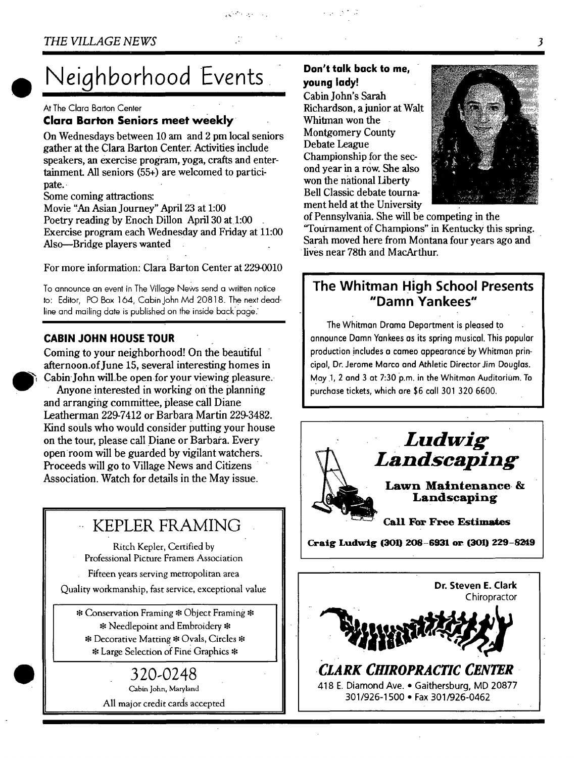# **Neighborhood Events**

At The Clara Barton Cenler

#### **Clara Barton Seniors meet weekly**

On Wednesdays between 10 am and 2 pm local seniors gather at the Clara Barton Center: Activities include speakers, an exercise program, yoga, crafts and entertainment. All seniors (55+) are welcomed to participate.

Some coming attractions:

Movie "An Asian Journey" April 23 at 1:00 Poetry reading by Enoch Dillon April 30 at 1:00 Exercise program each Wednesday and Friday at 11:00 Also--Bridge players wanted

For more information: Clara Barton Center at 229-0010

To announce an event in The Village News send a written notice **to:** Editor, PO Box 164, Cabin John Md 20818. The next deadline and mailing date is published on the inside back page.

#### **CABIN JOHN HOUSE TOUR**

Coming to your neighborhood! On the beautiful afternoon.of June 15, several interesting homes in Cabin John will be open for your viewing pleasure. Anyone interested in working on the planning and arranging committee, please call Diane Leatherman 229-7412 or Barbara Martin 229-3482. Kind souls who would consider putting your house on the tour, please call Diane or Barbara. Every open-room will be guarded by vigilant watchers. Proceeds will go to Village News and Citizens Association. Watch for details in the May issue.

# **-- KEPLER FRAMING**

Ritch Kepler, Certified by Professional Picture Framers Association

Fifteen years serving metropolitan area

Quality workmanship, fast service, exceptional value

\* Conservation Framing \* Object Framing \* \* Needlepoint and Embroidery \* Decorative Matting • Ovals, Circles \* \* Large Selection of Find Graphics \*

# 320-0248

Cabin John, Maryland All major credit cards accepted

### **Don't tolk bock to me, young Iody!**

*. . %* 

Cabin John's Sarah Richardson, a junior at Walt Whitman won the Montgomery County Debate League Championship for the second year in a row. She also won the national Liberty Bell Classic debate tournament held at the University



of Pennsylvania. She will be competing in the '~Fournament of Champions" in Kentucky this spring. Sarah moved here from Montana four years ago and lives near 78th and MacArthur.

## **The Whitman High School Presents "Damn Yankees"**

The Whitman Drama Department is pleased to announce Damn Yankees as its spring musical. This popular production includes a cameo appearance by Whitman principal, Dr. Jerome Marco and Athletic Director Jim Douglas. May 1, 2 and 3 at 7:30 p.m. in the Whitman Auditorium. To purchase tickets, which are \$6 call 301 320 6600.

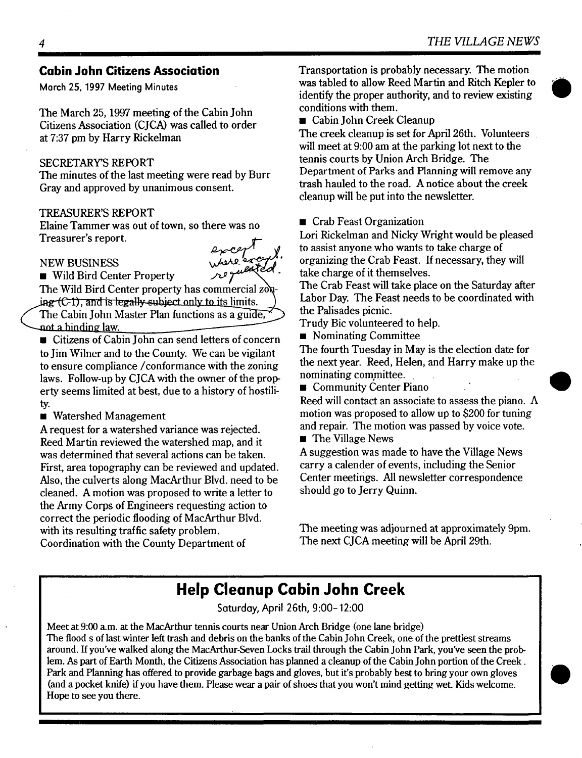### **Cabin John Citizens Association**

**March 25, 1997 Meeting Minutes** 

The March 25, 1997 meeting of the Cabin John Citizens Association (CJCA) was called to order at 7:37 pm by Harry Rickelman

#### SECRETARY'S REPORT

The minutes of the last meeting were read by Burr Gray and approved by unanimous consent.

#### TREASURER'S REPORT

Elaine Tammer was out of town, so there was no Treasurer's report.

#### **NEW BUSINESS**



■ Wild Bird Center Property

The Wild Bird Center property has commercial  $z$ on- $\frac{1}{2}$  (C-1), and is legally subject only to its limits.

The Cabin John Master Plan functions as a guide. not a binding law.

- **u** Citizens of Cabin John can send letters of concern to Jim Wilner and to the County. We can be vigilant to ensure compliance/conformance with the zoning laws. Follow-up by CJCA with the owner of the property seems limited at best, due to a history of hostility.
- **Watershed Management**

A request for a watershed variance was rejected. Reed Martin reviewed the watershed map, and it was determined that several actions can be taken. First, area topography can be reviewed and updated. Also, the culverts along MacArthur Blvd. need to be cleaned. A motion was proposed to write a letter to the Army Corps of Engineers requesting action to correct the periodic flooding of MacArthur Blvd. with its resulting traffic safety problem. Coordination with the County Department of

Transportation is probably necessary. The motion was tabled to allow Reed Martin and Ritch Kepler **to**  identify the proper authority, and to review existing conditions with them.

**• Cabin John Creek Cleanup** 

The creek cleanup is set for April 26th. Volunteers will meet at 9:00 am at the parking lot next to the **tennis** courts by Union Arch Bridge. The Department of Parks and Planning will remove any trash hauled to the road. A notice about the creek cleanup will be put into the newsletter.

**• Crab Feast Organization** 

Lori Rickelman and Nicky Wright would be pleased to assist anyone who wants to take charge of organizing the Crab Feast. If necessary, they will take charge of it themselves.

The Crab Feast will take place on the Saturday after Labor Day. The Feast needs to be coordinated with the Palisades picnic.

Trudy Bic volunteered to help.

• Nominating Committee

The fourth Tuesday in May is the election date for the next year. Reed, Helen, and Harry make up the nominating committee.

**E** Community Center Piano

Reed will contact an associate to assess the piano. A motion was proposed to allow up to \$200 for tuning and repair. The motion was passed by voice vote.

**n** The Village News

A suggestion was made to have the Village News carry a calender of events, including the Senior Center meetings. All newsletter correspondence should go to Jerry Quinn.

The meeting was adjourned at approximately 9pm. The next CJCA meeting will be April 29th.

# **Help Cleanup Cabin John Creek**

Saturday, April 26th, 9:00-12:00

Meet at 9:00 a.m. at the MacArthur tennis courts near Union Arch Bridge (one lane bridge) The flood s of last winter left trash and debris on the banks of the Cabin John Creek, one of the prettiest streams around, ff you've walked along the MacArthur-Seven Locks trail through the Cabin John Park, you've seen the problem. As part of Earth Month, the Citizens Association has planned a cleanup of the Cabin John portion of the Creek. Park and Planning has offered to provide garbage bags and gloves, but it's probably best to bring your own gloves (and a pocket knife) if you have them. Please wear a pair of shoes that you won't mind getting wet. Kids welcome. Hope to see you there.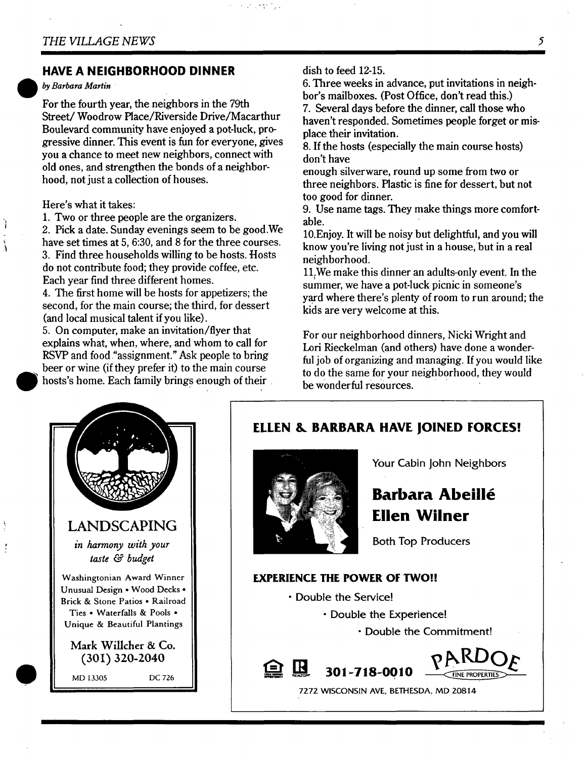#### **HAVE A NEIGHBORHOOD DINNER**

*by Barbara Martin* 

For the fourth year, the neighbors in the 79th Street/Woodrow Place/Riverside Drive/Macarthur Boulevard community have enjoyed a pot-luck, progressive dinner. This event is fun for everyone, gives you a chance to meet new neighbors, connect with old ones, and strengthen the bonds of a neighborhood, not just a collection of houses.

#### Here's what it takes:

Ì

Ã

1. Two or three people are the organizers.

2. Pick a date. Sunday evenings seem to be good.We have set times at 5, 6:30, and 8 for the three courses. 3. Find three households willing to be hosts. Hosts do not contribute food; they provide coffee, etc. Each year find three different homes.

4. The first home will be hosts for appetizers; the second, for the main course; the third, for dessert (and local musical talent if you like).

5. On computer, make an invitation/flyer that explains what, when, where, and whom to call for RSVP and food "assignment." Ask people to bring beer or wine (if they prefer it) to the main course hosts's home. Each family brings enough of their

dish to feed 12-15.

e de la final

6. Three weeks in advance, put invitations in neighbor's mailboxes. (Post Office, don't read this.) 7. Several days before the dinner, call those who haven't responded. Sometimes people forget or misplace their invitation.

8. If the hosts (especially the main course hosts) don't have

enough silverware, round up some from two or three neighbors. Hastic is fine for dessert, but not too good for dinner.

9. Use name tags. They make things more comfortable.

10.Enjoy. It will be noisy but delightful, and you will know you're living not just in a house, but in a real neighborhood.

11. We make this dinner an adults-only event. In the summer, we have a pot-luck picnic in someone's yard where there's plenty of room to run around; the kids are very welcome at this.

For our neighborhood dinners, Nicki Wright and Lori Rieckelman (and others) have done a wonderful job of organizing and managing. If you would like to do the same for your neighborhood, they would be wonderful resources.



### **ELLEN & BARBARA HAVE JOINED FORCES!**



 $\mathbb{R}$ 

旦

Your Cabin John Neighbors

# **Barbara Abeill6 Ellen Wilner**

Both Top Producers

#### **EXPERIENCE THE POWER OF TWO!!**

- Double the Service!
	- Double the Experience!
		- Double the Commitment!



7272 WISCONSIN AVE, BETHESDA, MD 20814

**3oi-718-oolo**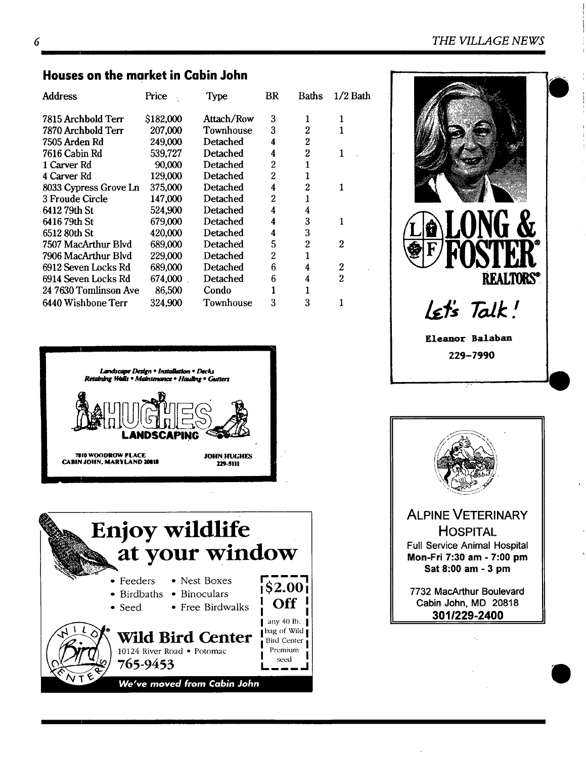#### *6 THE VILLAGE NEWS*

| Houses on the market in Cabin John |           |            |                  |                |                |  |
|------------------------------------|-----------|------------|------------------|----------------|----------------|--|
| Address                            | Price     | Type       | BR               | Baths          | $1/2$ Bath     |  |
| 7815 Archbold Terr                 | \$182,000 | Attach/Row | 3                | 1              |                |  |
| 7870 Archbold Terr                 | 207,000   | Townhouse  | 3                | $\overline{c}$ |                |  |
| 7505 Arden Rd                      | 249,000   | Detached   | 4                | $\overline{c}$ |                |  |
| 7616 Cabin Rd                      | 539,727   | Detached   | 4                | $\overline{c}$ | 1              |  |
| 1 Carver Rd                        | 90,000    | Detached   | $\overline{2}$   | $\mathbf{1}$   |                |  |
| 4 Carver Rd                        | 129,000   | Detached   | $\boldsymbol{2}$ | $\mathbf{1}$   |                |  |
| 8033 Cypress Grove Ln              | 375,000   | Detached   | 4                | $\overline{c}$ | 1              |  |
| 3 Froude Circle                    | 147,000   | Detached   | $\boldsymbol{2}$ | 1              |                |  |
| 641279th St                        | 524,900   | Detached   | 4                | 4              |                |  |
| 6416 79th St                       | 679,000   | Detached   | 4                | 3              | 1              |  |
| 6512 80th St                       | 420,000   | Detached   | 4                | 3              |                |  |
| 7507 MacArthur Blvd                | 689,000   | Detached   | 5                | $\overline{2}$ | $\overline{2}$ |  |
| 7906 MacArthur Blvd                | 229,000   | Detached   | $\boldsymbol{2}$ | 1              |                |  |
| 6912 Seven Locks Rd                | 689,000   | Detached   | 6                | 4              | 2              |  |
| 6914 Seven Locks Rd                | 674,000   | Detached   | 6                | 4              | $\overline{2}$ |  |
| 24 7630 Tomlinson Ave              | 86,500    | Condo      | 1                | 1              |                |  |
| 6440 Wishbone Terr                 | 324,900   | Townhouse  | 3                | 3              |                |  |









Cabin John, MD 20818 **3011229-2400**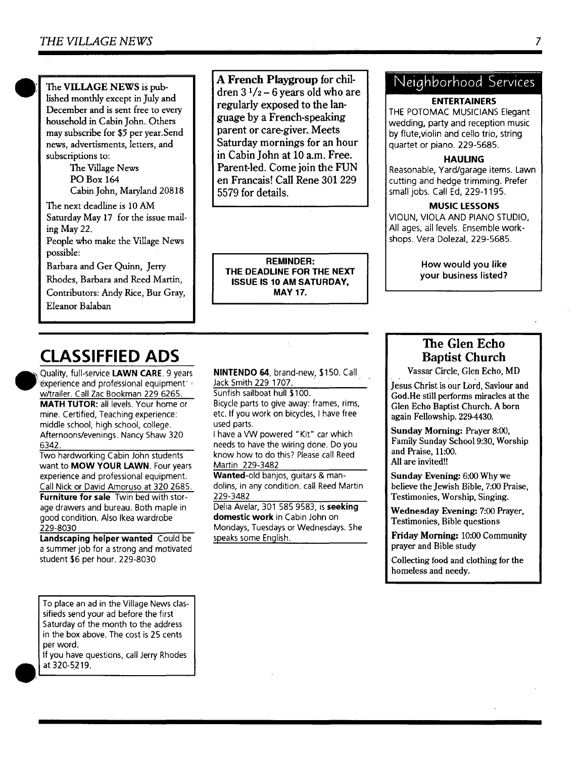The VILLAGE NEWS is published monthly except in July and December and is sent free to every household in Cabin John. Others may subscribe for \$5 per year.Send news, advertisments, letters, and subscriptions to:

> The Village News PO Box 164 Cabin John, Maryland 20818

The next deadline is 10 AM Saturday May 17 for the issue mailing May 22.

People who make the ViUage News possible:

Barbara and Ger Quinn, Jerry

Rhodes, Barbara and Reed Martin, Contributors: Andy Rice, Bur Gray,

Eleanor Balaban

**A French Playgroup for children 3 1/2 - 6 years old who are regularly exposed to the language by a French-speaking parent or care-giver. Meets Saturday mornings for an hour in Cabin John at 10 a.m. Free. Parent-led. Come join the FUN en Francais! Call Rene 301 229 5579 for details.** 

**REMINDER: THE DEADLINE FOR THE NEXT ISSUE IS 10 AM SATURDAY, MAY 17.** 

# Neighborhood Services

#### **ENTERTAINERS**

THE POTOMAC MUSICIANS Elegant wedding, party and reception music by flute,violin and cello trio, string quartet or piano. 229-5685.

#### **HAULING**

Reasonable, Yard/garage items. Lawn cutting and hedge trimming. Prefer small jobs. Call Ed, 229-1195.

#### **MUSIC LESSONS**

VIOLIN, VIOLA AND PIANO STUDIO, All ages, all levels. Ensemble workshops. Vera Dolezal, 229-5685.

> How would you like your business listed?

# **CLASSIFFIED ADS**

Quality, full-service LAWN CARE. 9 years experience and professional equipment w/trailer. Call Zac Bookman 229 6265. **MATH TUTOR: all levels. Your home or** mine. Certified, Teaching experience: middle school, high school, college. Afternoons/evenings. Nancy Shaw 320 6342.

Two hardworking Cabin John students want to **MOW YOUR** LAWN. Four years experience and professional equipment. Call Nick or David Amoruso at 320 2685.

**Furniture for sale** Twin bed with storage drawers and bureau. Both maple in good condition. Also Ikea wardrobe 229-8030

**Landscaping helper wanted** Could be a summer job for a strong and motivated student \$6 per hour. 229-8030

To place an ad in the Village News classifieds send your ad before the first Saturday of the month to the address in the box above. The cost is 25 cents per word.

If you have questions, call Jerry Rhodes at 320-5219.

**NINTENDO 64.** brand-new, \$150. Call Jack Smith 229 1707.

Sunfish sailboat hull \$100. Bicycle parts to give away: frames, rims, etc. If you work on bicycles, I have free used parts.

I have a VW powered *"Kit"* car which needs to have the wiring done. Do you know how to do this? Please call Reed Martin 229-3482

Wanted-old banjos, guitars & mandolins, in any condition, call Reed Martin 229-3482

Delia Avelar, 301 585 9583, is **seeking domestic work** in Cabin John on Mondays, Tuesdays or Wednesdays. She speaks some English.

### **The Glen Echo**  Baptist **Church**

Vassar Circle, Glen Echo, MD

jesus Christ is our Lord, Saviour **and**  God.He still performs miracles at **the**  Glen Echo Baptist Church. A born again Fellowship. 229-4430.

**Sunday Morning:** Prayer 8:00, Family Sunday School 9:30, Worship and Praise, 11:00. All are invited!!

**Sunday** Evening: 6:00 Why we believe the Jewish Bible, 7:00 Praise, Testimonies, Worship, Singing.

Wednesday Evening: 7:00 Prayer, Testimonies, Bible questions

**Friday Morning:** 10:00 Community prayer and Bible study

Collecting food and clothing for **the**  homeless and needy.